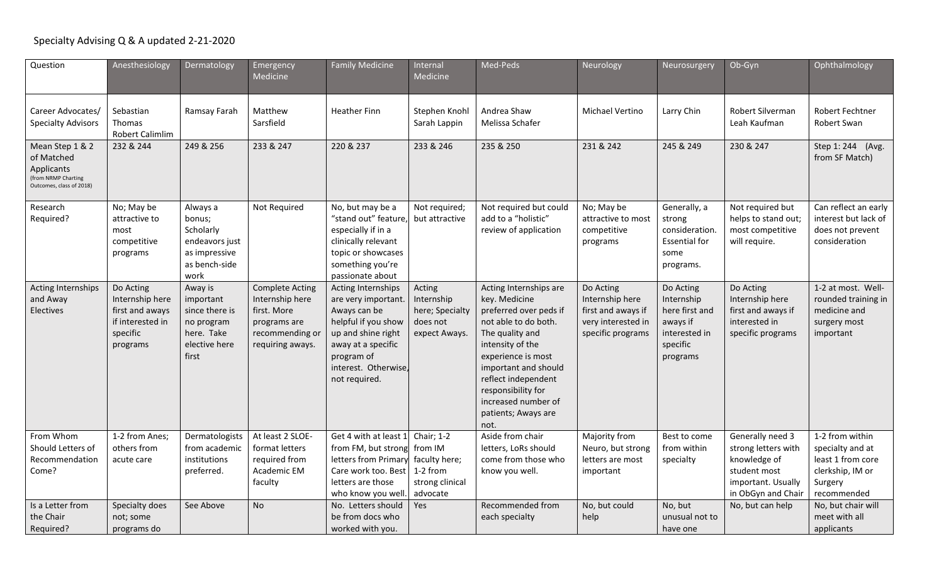## Specialty Advising Q & A updated 2-21-2020

| Question                                                                                       | Anesthesiology                                                                              | Dermatology                                                                                  | Emergency<br>Medicine                                                                                           | <b>Family Medicine</b>                                                                                                                                                              | Internal<br><b>Medicine</b>                                            | Med-Peds                                                                                                                                                                                                                                                                          | Neurology                                                                                     | Neurosurgery                                                                                   | Ob-Gyn                                                                                                              | Ophthalmology                                                                                          |
|------------------------------------------------------------------------------------------------|---------------------------------------------------------------------------------------------|----------------------------------------------------------------------------------------------|-----------------------------------------------------------------------------------------------------------------|-------------------------------------------------------------------------------------------------------------------------------------------------------------------------------------|------------------------------------------------------------------------|-----------------------------------------------------------------------------------------------------------------------------------------------------------------------------------------------------------------------------------------------------------------------------------|-----------------------------------------------------------------------------------------------|------------------------------------------------------------------------------------------------|---------------------------------------------------------------------------------------------------------------------|--------------------------------------------------------------------------------------------------------|
| Career Advocates/<br><b>Specialty Advisors</b>                                                 | Sebastian<br>Thomas<br>Robert Calimlim                                                      | Ramsay Farah                                                                                 | Matthew<br>Sarsfield                                                                                            | <b>Heather Finn</b>                                                                                                                                                                 | Stephen Knohl<br>Sarah Lappin                                          | Andrea Shaw<br>Melissa Schafer                                                                                                                                                                                                                                                    | <b>Michael Vertino</b>                                                                        | Larry Chin                                                                                     | Robert Silverman<br>Leah Kaufman                                                                                    | <b>Robert Fechtner</b><br>Robert Swan                                                                  |
| Mean Step 1 & 2<br>of Matched<br>Applicants<br>(from NRMP Charting<br>Outcomes, class of 2018) | 232 & 244                                                                                   | 249 & 256                                                                                    | 233 & 247                                                                                                       | 220 & 237                                                                                                                                                                           | 233 & 246                                                              | 235 & 250                                                                                                                                                                                                                                                                         | 231 & 242                                                                                     | 245 & 249                                                                                      | 230 & 247                                                                                                           | Step 1: 244 (Avg.<br>from SF Match)                                                                    |
| Research<br>Required?                                                                          | No; May be<br>attractive to<br>most<br>competitive<br>programs                              | Always a<br>bonus;<br>Scholarly<br>endeavors just<br>as impressive<br>as bench-side<br>work  | Not Required                                                                                                    | No, but may be a<br>"stand out" feature,<br>especially if in a<br>clinically relevant<br>topic or showcases<br>something you're<br>passionate about                                 | Not required;<br>but attractive                                        | Not required but could<br>add to a "holistic"<br>review of application                                                                                                                                                                                                            | No; May be<br>attractive to most<br>competitive<br>programs                                   | Generally, a<br>strong<br>consideration.<br><b>Essential for</b><br>some<br>programs.          | Not required but<br>helps to stand out;<br>most competitive<br>will require.                                        | Can reflect an early<br>interest but lack of<br>does not prevent<br>consideration                      |
| Acting Internships<br>and Away<br>Electives                                                    | Do Acting<br>Internship here<br>first and aways<br>if interested in<br>specific<br>programs | Away is<br>important<br>since there is<br>no program<br>here. Take<br>elective here<br>first | <b>Complete Acting</b><br>Internship here<br>first. More<br>programs are<br>recommending or<br>requiring aways. | Acting Internships<br>are very important.<br>Aways can be<br>helpful if you show<br>up and shine right<br>away at a specific<br>program of<br>interest. Otherwise,<br>not required. | Acting<br>Internship<br>here; Specialty<br>does not<br>expect Aways.   | Acting Internships are<br>key. Medicine<br>preferred over peds if<br>not able to do both.<br>The quality and<br>intensity of the<br>experience is most<br>important and should<br>reflect independent<br>responsibility for<br>increased number of<br>patients; Aways are<br>not. | Do Acting<br>Internship here<br>first and aways if<br>very interested in<br>specific programs | Do Acting<br>Internship<br>here first and<br>aways if<br>interested in<br>specific<br>programs | Do Acting<br>Internship here<br>first and aways if<br>interested in<br>specific programs                            | 1-2 at most. Well-<br>rounded training in<br>medicine and<br>surgery most<br>important                 |
| From Whom<br>Should Letters of<br>Recommendation<br>Come?                                      | 1-2 from Anes;<br>others from<br>acute care                                                 | Dermatologists<br>from academic<br>institutions<br>preferred.                                | At least 2 SLOE-<br>format letters<br>required from<br>Academic EM<br>faculty                                   | Get 4 with at least 1<br>from FM, but strong from IM<br>letters from Primary<br>Care work too. Best<br>letters are those<br>who know you well                                       | Chair; 1-2<br>faculty here;<br>1-2 from<br>strong clinical<br>advocate | Aside from chair<br>letters, LoRs should<br>come from those who<br>know you well.                                                                                                                                                                                                 | Majority from<br>Neuro, but strong<br>letters are most<br>important                           | Best to come<br>from within<br>specialty                                                       | Generally need 3<br>strong letters with<br>knowledge of<br>student most<br>important. Usually<br>in ObGyn and Chair | 1-2 from within<br>specialty and at<br>least 1 from core<br>clerkship, IM or<br>Surgery<br>recommended |
| Is a Letter from<br>the Chair<br>Required?                                                     | Specialty does<br>not; some<br>programs do                                                  | See Above                                                                                    | <b>No</b>                                                                                                       | No. Letters should<br>be from docs who<br>worked with you.                                                                                                                          | Yes                                                                    | Recommended from<br>each specialty                                                                                                                                                                                                                                                | No, but could<br>help                                                                         | No, but<br>unusual not to<br>have one                                                          | No, but can help                                                                                                    | No, but chair will<br>meet with all<br>applicants                                                      |